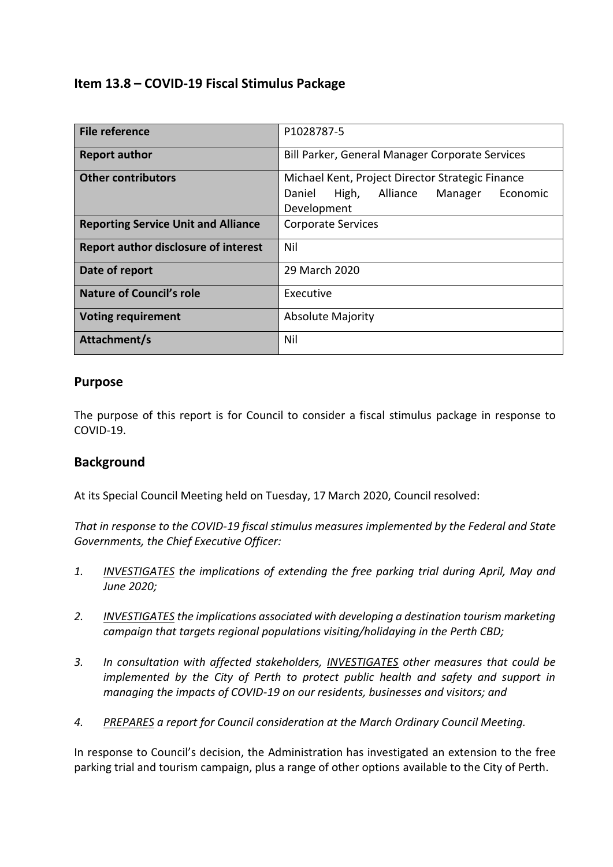## **Item 13.8 – COVID-19 Fiscal Stimulus Package**

| <b>File reference</b>                       | P1028787-5                                                                                                            |  |  |
|---------------------------------------------|-----------------------------------------------------------------------------------------------------------------------|--|--|
| <b>Report author</b>                        | Bill Parker, General Manager Corporate Services                                                                       |  |  |
| <b>Other contributors</b>                   | Michael Kent, Project Director Strategic Finance<br>High,<br>Economic<br>Daniel<br>Alliance<br>Manager<br>Development |  |  |
| <b>Reporting Service Unit and Alliance</b>  | <b>Corporate Services</b>                                                                                             |  |  |
| <b>Report author disclosure of interest</b> | Nil                                                                                                                   |  |  |
| Date of report                              | 29 March 2020                                                                                                         |  |  |
| Nature of Council's role                    | Executive                                                                                                             |  |  |
| <b>Voting requirement</b>                   | <b>Absolute Majority</b>                                                                                              |  |  |
| Attachment/s                                | Nil                                                                                                                   |  |  |

### **Purpose**

The purpose of this report is for Council to consider a fiscal stimulus package in response to COVID-19.

## **Background**

At its Special Council Meeting held on Tuesday, 17 March 2020, Council resolved:

*That in response to the COVID-19 fiscal stimulus measures implemented by the Federal and State Governments, the Chief Executive Officer:*

- *1. INVESTIGATES the implications of extending the free parking trial during April, May and June 2020;*
- *2. INVESTIGATES the implications associated with developing a destination tourism marketing campaign that targets regional populations visiting/holidaying in the Perth CBD;*
- *3. In consultation with affected stakeholders, INVESTIGATES other measures that could be implemented by the City of Perth to protect public health and safety and support in managing the impacts of COVID-19 on our residents, businesses and visitors; and*
- *4. PREPARES a report for Council consideration at the March Ordinary Council Meeting.*

In response to Council's decision, the Administration has investigated an extension to the free parking trial and tourism campaign, plus a range of other options available to the City of Perth.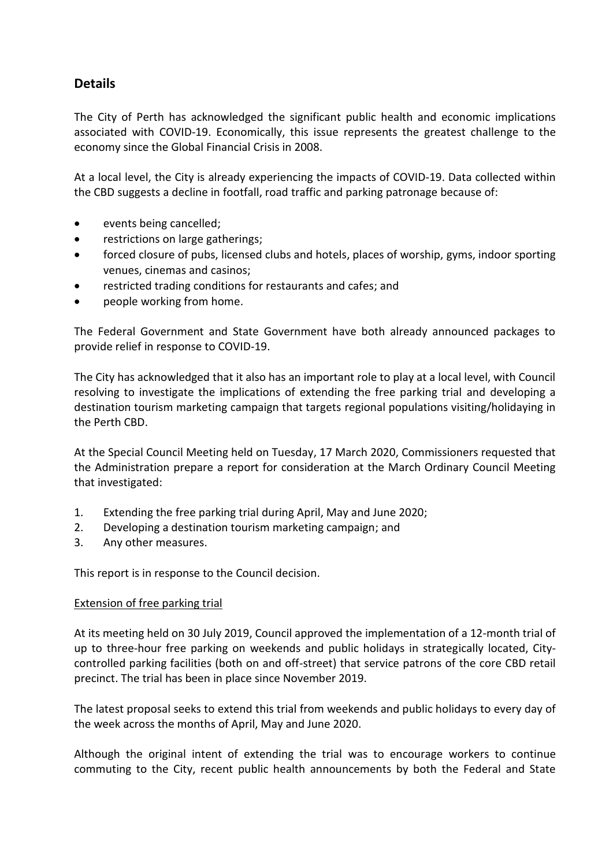# **Details**

The City of Perth has acknowledged the significant public health and economic implications associated with COVID-19. Economically, this issue represents the greatest challenge to the economy since the Global Financial Crisis in 2008.

At a local level, the City is already experiencing the impacts of COVID-19. Data collected within the CBD suggests a decline in footfall, road traffic and parking patronage because of:

- events being cancelled;
- restrictions on large gatherings;
- forced closure of pubs, licensed clubs and hotels, places of worship, gyms, indoor sporting venues, cinemas and casinos;
- restricted trading conditions for restaurants and cafes; and
- people working from home.

The Federal Government and State Government have both already announced packages to provide relief in response to COVID-19.

The City has acknowledged that it also has an important role to play at a local level, with Council resolving to investigate the implications of extending the free parking trial and developing a destination tourism marketing campaign that targets regional populations visiting/holidaying in the Perth CBD.

At the Special Council Meeting held on Tuesday, 17 March 2020, Commissioners requested that the Administration prepare a report for consideration at the March Ordinary Council Meeting that investigated:

- 1. Extending the free parking trial during April, May and June 2020;
- 2. Developing a destination tourism marketing campaign; and
- 3. Any other measures.

This report is in response to the Council decision.

#### Extension of free parking trial

At its meeting held on 30 July 2019, Council approved the implementation of a 12-month trial of up to three-hour free parking on weekends and public holidays in strategically located, Citycontrolled parking facilities (both on and off-street) that service patrons of the core CBD retail precinct. The trial has been in place since November 2019.

The latest proposal seeks to extend this trial from weekends and public holidays to every day of the week across the months of April, May and June 2020.

Although the original intent of extending the trial was to encourage workers to continue commuting to the City, recent public health announcements by both the Federal and State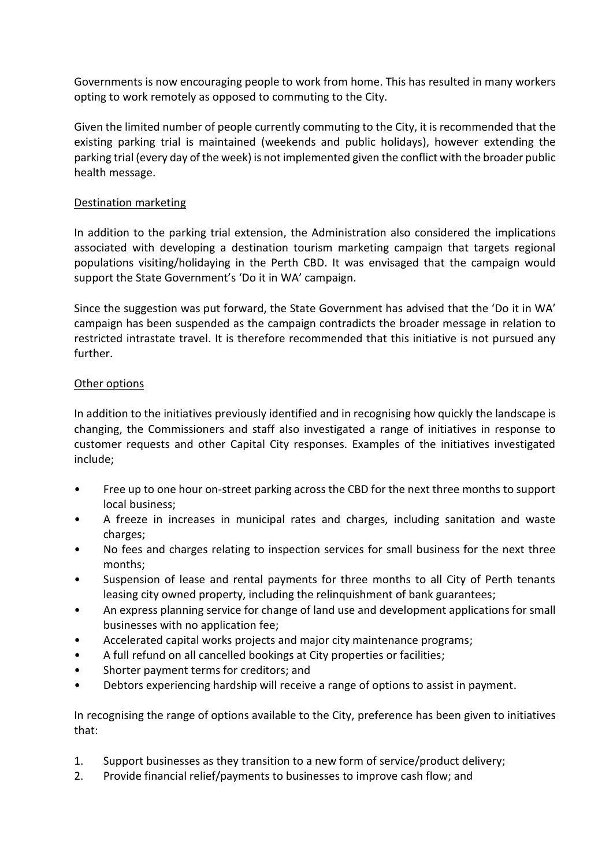Governments is now encouraging people to work from home. This has resulted in many workers opting to work remotely as opposed to commuting to the City.

Given the limited number of people currently commuting to the City, it is recommended that the existing parking trial is maintained (weekends and public holidays), however extending the parking trial (every day of the week) is not implemented given the conflict with the broader public health message.

#### Destination marketing

In addition to the parking trial extension, the Administration also considered the implications associated with developing a destination tourism marketing campaign that targets regional populations visiting/holidaying in the Perth CBD. It was envisaged that the campaign would support the State Government's 'Do it in WA' campaign.

Since the suggestion was put forward, the State Government has advised that the 'Do it in WA' campaign has been suspended as the campaign contradicts the broader message in relation to restricted intrastate travel. It is therefore recommended that this initiative is not pursued any further.

#### Other options

In addition to the initiatives previously identified and in recognising how quickly the landscape is changing, the Commissioners and staff also investigated a range of initiatives in response to customer requests and other Capital City responses. Examples of the initiatives investigated include;

- Free up to one hour on-street parking across the CBD for the next three months to support local business;
- A freeze in increases in municipal rates and charges, including sanitation and waste charges;
- No fees and charges relating to inspection services for small business for the next three months;
- Suspension of lease and rental payments for three months to all City of Perth tenants leasing city owned property, including the relinquishment of bank guarantees;
- An express planning service for change of land use and development applications for small businesses with no application fee;
- Accelerated capital works projects and major city maintenance programs;
- A full refund on all cancelled bookings at City properties or facilities;
- Shorter payment terms for creditors; and
- Debtors experiencing hardship will receive a range of options to assist in payment.

In recognising the range of options available to the City, preference has been given to initiatives that:

- 1. Support businesses as they transition to a new form of service/product delivery;
- 2. Provide financial relief/payments to businesses to improve cash flow; and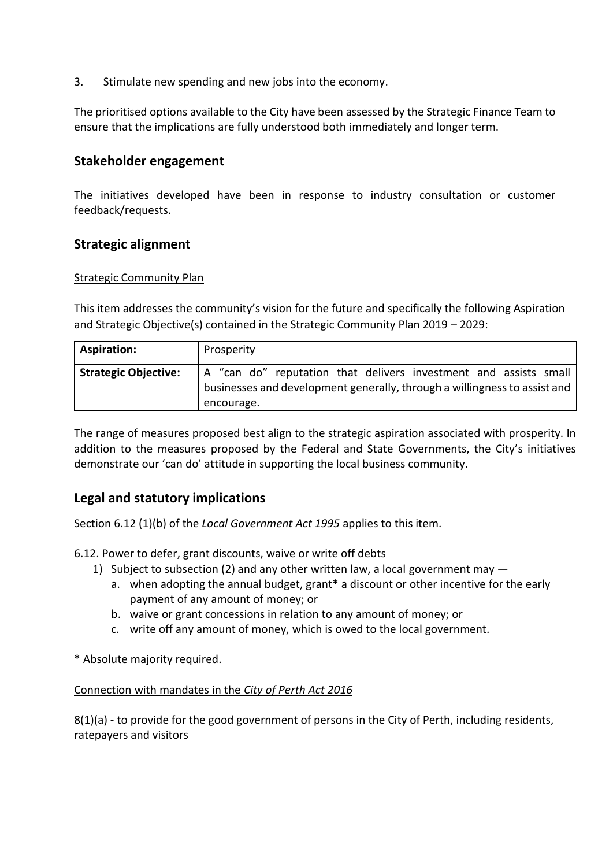3. Stimulate new spending and new jobs into the economy.

The prioritised options available to the City have been assessed by the Strategic Finance Team to ensure that the implications are fully understood both immediately and longer term.

## **Stakeholder engagement**

The initiatives developed have been in response to industry consultation or customer feedback/requests.

### **Strategic alignment**

#### Strategic Community Plan

This item addresses the community's vision for the future and specifically the following Aspiration and Strategic Objective(s) contained in the Strategic Community Plan 2019 – 2029:

| <b>Aspiration:</b>          | Prosperity                                                                                                                                                  |
|-----------------------------|-------------------------------------------------------------------------------------------------------------------------------------------------------------|
| <b>Strategic Objective:</b> | A "can do" reputation that delivers investment and assists small<br>businesses and development generally, through a willingness to assist and<br>encourage. |

The range of measures proposed best align to the strategic aspiration associated with prosperity. In addition to the measures proposed by the Federal and State Governments, the City's initiatives demonstrate our 'can do' attitude in supporting the local business community.

## **Legal and statutory implications**

Section 6.12 (1)(b) of the *Local Government Act 1995* applies to this item.

6.12. Power to defer, grant discounts, waive or write off debts

- 1) Subject to subsection (2) and any other written law, a local government may
	- a. when adopting the annual budget, grant\* a discount or other incentive for the early payment of any amount of money; or
	- b. waive or grant concessions in relation to any amount of money; or
	- c. write off any amount of money, which is owed to the local government.

\* Absolute majority required.

#### Connection with mandates in the *City of Perth Act 2016*

8(1)(a) - to provide for the good government of persons in the City of Perth, including residents, ratepayers and visitors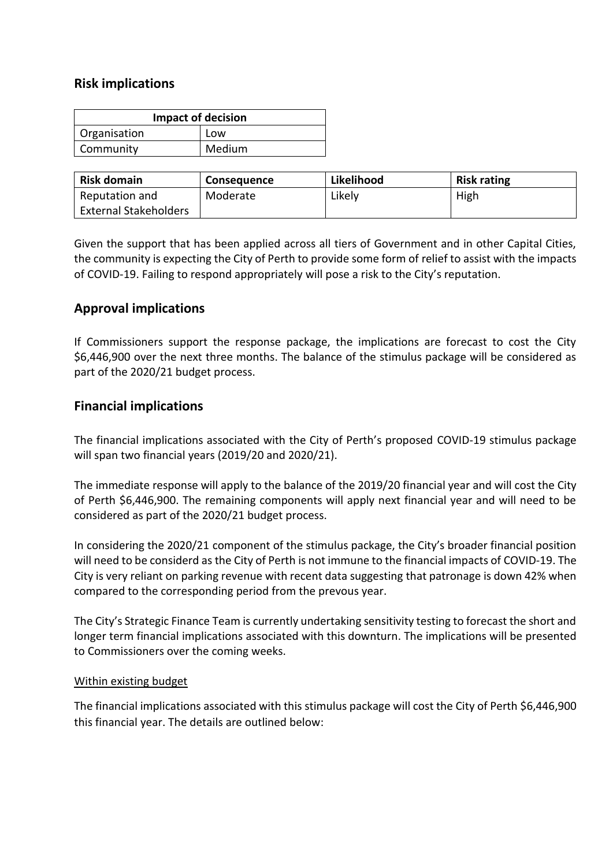## **Risk implications**

| <b>Impact of decision</b> |        |  |  |
|---------------------------|--------|--|--|
| Organisation              | Low    |  |  |
| Community                 | Medium |  |  |

| <b>Risk domain</b>           | <b>Consequence</b> | Likelihood | <b>Risk rating</b> |
|------------------------------|--------------------|------------|--------------------|
| Reputation and               | Moderate           | Likely     | High               |
| <b>External Stakeholders</b> |                    |            |                    |

Given the support that has been applied across all tiers of Government and in other Capital Cities, the community is expecting the City of Perth to provide some form of relief to assist with the impacts of COVID-19. Failing to respond appropriately will pose a risk to the City's reputation.

### **Approval implications**

If Commissioners support the response package, the implications are forecast to cost the City \$6,446,900 over the next three months. The balance of the stimulus package will be considered as part of the 2020/21 budget process.

### **Financial implications**

The financial implications associated with the City of Perth's proposed COVID-19 stimulus package will span two financial years (2019/20 and 2020/21).

The immediate response will apply to the balance of the 2019/20 financial year and will cost the City of Perth \$6,446,900. The remaining components will apply next financial year and will need to be considered as part of the 2020/21 budget process.

In considering the 2020/21 component of the stimulus package, the City's broader financial position will need to be considerd as the City of Perth is not immune to the financial impacts of COVID-19. The City is very reliant on parking revenue with recent data suggesting that patronage is down 42% when compared to the corresponding period from the prevous year.

The City's Strategic Finance Team is currently undertaking sensitivity testing to forecast the short and longer term financial implications associated with this downturn. The implications will be presented to Commissioners over the coming weeks.

#### Within existing budget

The financial implications associated with this stimulus package will cost the City of Perth \$6,446,900 this financial year. The details are outlined below: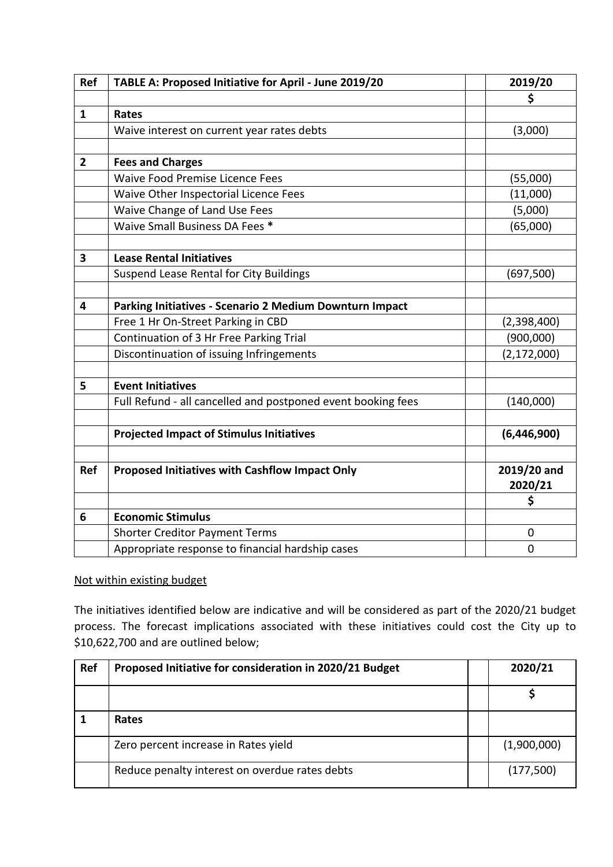| Ref            | TABLE A: Proposed Initiative for April - June 2019/20        | 2019/20       |
|----------------|--------------------------------------------------------------|---------------|
|                |                                                              | \$            |
| $\mathbf{1}$   | Rates                                                        |               |
|                | Waive interest on current year rates debts                   | (3,000)       |
|                |                                                              |               |
| $\overline{2}$ | <b>Fees and Charges</b>                                      |               |
|                | <b>Waive Food Premise Licence Fees</b>                       | (55,000)      |
|                | Waive Other Inspectorial Licence Fees                        | (11,000)      |
|                | Waive Change of Land Use Fees                                | (5,000)       |
|                | Waive Small Business DA Fees *                               | (65,000)      |
|                |                                                              |               |
| 3              | <b>Lease Rental Initiatives</b>                              |               |
|                | Suspend Lease Rental for City Buildings                      | (697, 500)    |
|                |                                                              |               |
| 4              | Parking Initiatives - Scenario 2 Medium Downturn Impact      |               |
|                | Free 1 Hr On-Street Parking in CBD                           | (2,398,400)   |
|                | Continuation of 3 Hr Free Parking Trial                      | (900,000)     |
|                | Discontinuation of issuing Infringements                     | (2, 172, 000) |
|                |                                                              |               |
| 5              | <b>Event Initiatives</b>                                     |               |
|                | Full Refund - all cancelled and postponed event booking fees | (140,000)     |
|                |                                                              |               |
|                | <b>Projected Impact of Stimulus Initiatives</b>              | (6,446,900)   |
|                |                                                              |               |
| <b>Ref</b>     | <b>Proposed Initiatives with Cashflow Impact Only</b>        | 2019/20 and   |
|                |                                                              | 2020/21       |
|                |                                                              | \$            |
| 6              | <b>Economic Stimulus</b>                                     |               |
|                | <b>Shorter Creditor Payment Terms</b>                        | 0             |
|                | Appropriate response to financial hardship cases             | 0             |

#### Not within existing budget

The initiatives identified below are indicative and will be considered as part of the 2020/21 budget process. The forecast implications associated with these initiatives could cost the City up to \$10,622,700 and are outlined below;

| Ref | Proposed Initiative for consideration in 2020/21 Budget | 2020/21     |
|-----|---------------------------------------------------------|-------------|
|     |                                                         |             |
|     | Rates                                                   |             |
|     | Zero percent increase in Rates yield                    | (1,900,000) |
|     | Reduce penalty interest on overdue rates debts          | (177,500)   |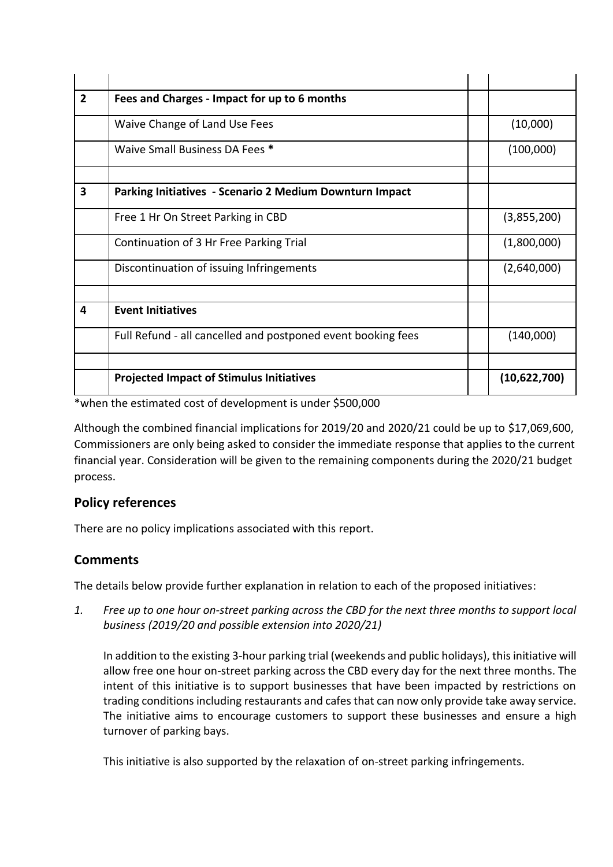| $\overline{2}$ | Fees and Charges - Impact for up to 6 months                 |              |
|----------------|--------------------------------------------------------------|--------------|
|                | Waive Change of Land Use Fees                                | (10,000)     |
|                | Waive Small Business DA Fees *                               | (100,000)    |
|                |                                                              |              |
| 3              | Parking Initiatives - Scenario 2 Medium Downturn Impact      |              |
|                | Free 1 Hr On Street Parking in CBD                           | (3,855,200)  |
|                | Continuation of 3 Hr Free Parking Trial                      | (1,800,000)  |
|                | Discontinuation of issuing Infringements                     | (2,640,000)  |
|                |                                                              |              |
| 4              | <b>Event Initiatives</b>                                     |              |
|                | Full Refund - all cancelled and postponed event booking fees | (140,000)    |
|                |                                                              |              |
|                | <b>Projected Impact of Stimulus Initiatives</b>              | (10,622,700) |

\*when the estimated cost of development is under \$500,000

Although the combined financial implications for 2019/20 and 2020/21 could be up to \$17,069,600, Commissioners are only being asked to consider the immediate response that applies to the current financial year. Consideration will be given to the remaining components during the 2020/21 budget process.

## **Policy references**

There are no policy implications associated with this report.

## **Comments**

The details below provide further explanation in relation to each of the proposed initiatives:

*1. Free up to one hour on-street parking across the CBD for the next three months to support local business (2019/20 and possible extension into 2020/21)*

In addition to the existing 3-hour parking trial (weekends and public holidays), this initiative will allow free one hour on-street parking across the CBD every day for the next three months. The intent of this initiative is to support businesses that have been impacted by restrictions on trading conditions including restaurants and cafesthat can now only provide take away service. The initiative aims to encourage customers to support these businesses and ensure a high turnover of parking bays.

This initiative is also supported by the relaxation of on-street parking infringements.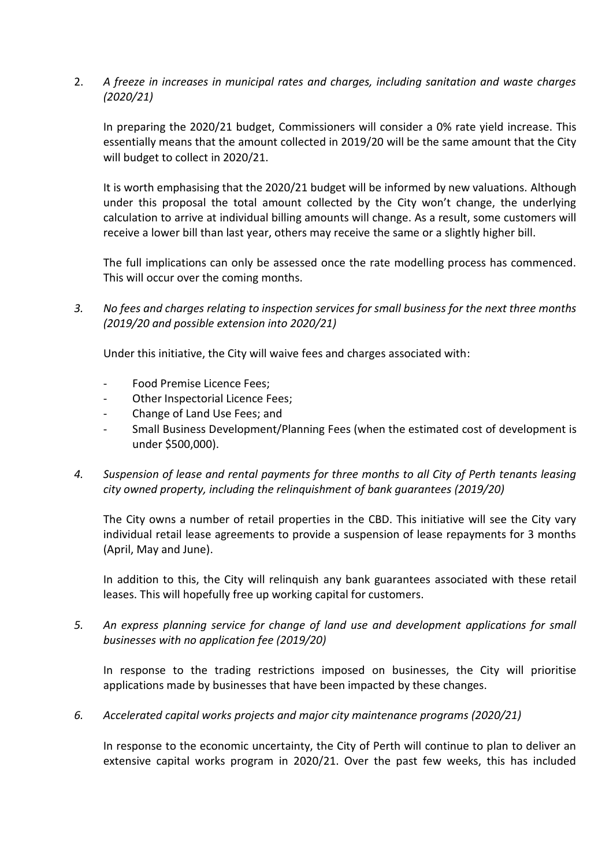2. *A freeze in increases in municipal rates and charges, including sanitation and waste charges (2020/21)*

In preparing the 2020/21 budget, Commissioners will consider a 0% rate yield increase. This essentially means that the amount collected in 2019/20 will be the same amount that the City will budget to collect in 2020/21.

It is worth emphasising that the 2020/21 budget will be informed by new valuations. Although under this proposal the total amount collected by the City won't change, the underlying calculation to arrive at individual billing amounts will change. As a result, some customers will receive a lower bill than last year, others may receive the same or a slightly higher bill.

The full implications can only be assessed once the rate modelling process has commenced. This will occur over the coming months.

*3. No fees and charges relating to inspection services for small business for the next three months (2019/20 and possible extension into 2020/21)*

Under this initiative, the City will waive fees and charges associated with:

- Food Premise Licence Fees;
- Other Inspectorial Licence Fees;
- Change of Land Use Fees; and
- Small Business Development/Planning Fees (when the estimated cost of development is under \$500,000).
- *4. Suspension of lease and rental payments for three months to all City of Perth tenants leasing city owned property, including the relinquishment of bank guarantees (2019/20)*

The City owns a number of retail properties in the CBD. This initiative will see the City vary individual retail lease agreements to provide a suspension of lease repayments for 3 months (April, May and June).

In addition to this, the City will relinquish any bank guarantees associated with these retail leases. This will hopefully free up working capital for customers.

*5. An express planning service for change of land use and development applications for small businesses with no application fee (2019/20)*

In response to the trading restrictions imposed on businesses, the City will prioritise applications made by businesses that have been impacted by these changes.

*6. Accelerated capital works projects and major city maintenance programs (2020/21)*

In response to the economic uncertainty, the City of Perth will continue to plan to deliver an extensive capital works program in 2020/21. Over the past few weeks, this has included